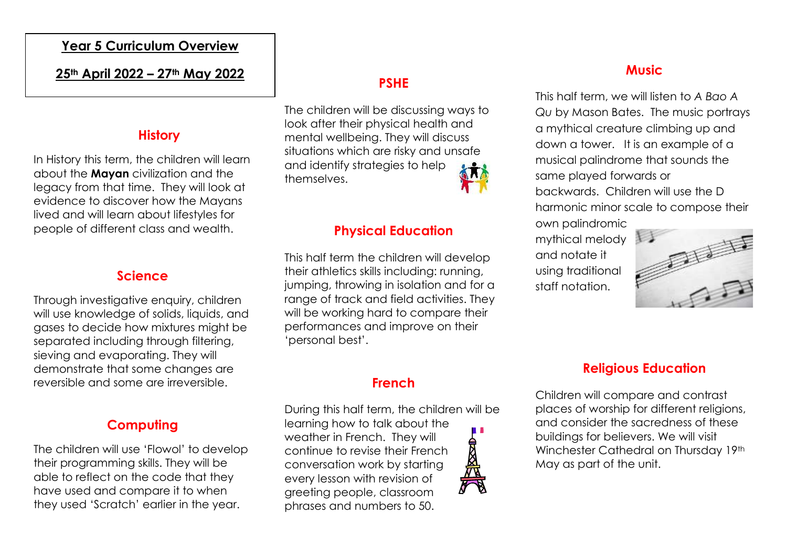#### **Year 5 Curriculum Overview**

#### **25th April 2022 – 27th May 2022**

#### **History**

In History this term, the children will learn about the **Mayan** civilization and the legacy from that time. They will look at evidence to discover how the Mayans lived and will learn about lifestyles for people of different class and wealth.

#### **Science**

Through investigative enquiry, children will use knowledge of solids, liquids, and gases to decide how mixtures might be separated including through filtering, sieving and evaporating. They will demonstrate that some changes are reversible and some are irreversible.

### **Computing**

The children will use 'Flowol' to develop their programming skills. They will be able to reflect on the code that they have used and compare it to when they used 'Scratch' earlier in the year.

# **PSHE**

The children will be discussing ways to look after their physical health and mental wellbeing. They will discuss situations which are risky and unsafe and identify strategies to help themselves.

### **Physical Education**

This half term the children will develop their athletics skills including: running, jumping, throwing in isolation and for a range of track and field activities. They will be working hard to compare their performances and improve on their 'personal best'.

## **French**

During this half term, the children will be learning how to talk about the a a s weather in French. They will continue to revise their French conversation work by starting every lesson with revision of greeting people, classroom phrases and numbers to 50.

Children will compare and contrast places of worship for different religions, and consider the sacredness of these buildings for believers. We will visit Winchester Cathedral on Thursday 19th May as part of the unit.

**Religious Education**



## **Music**

This half term, we will listen to *A Bao A Qu* by Mason Bates. The music portrays a mythical creature climbing up and down a tower. It is an example of a musical palindrome that sounds the same played forwards or backwards. Children will use the D harmonic minor scale to compose their own palindromic

mythical melody and notate it using traditional staff notation.